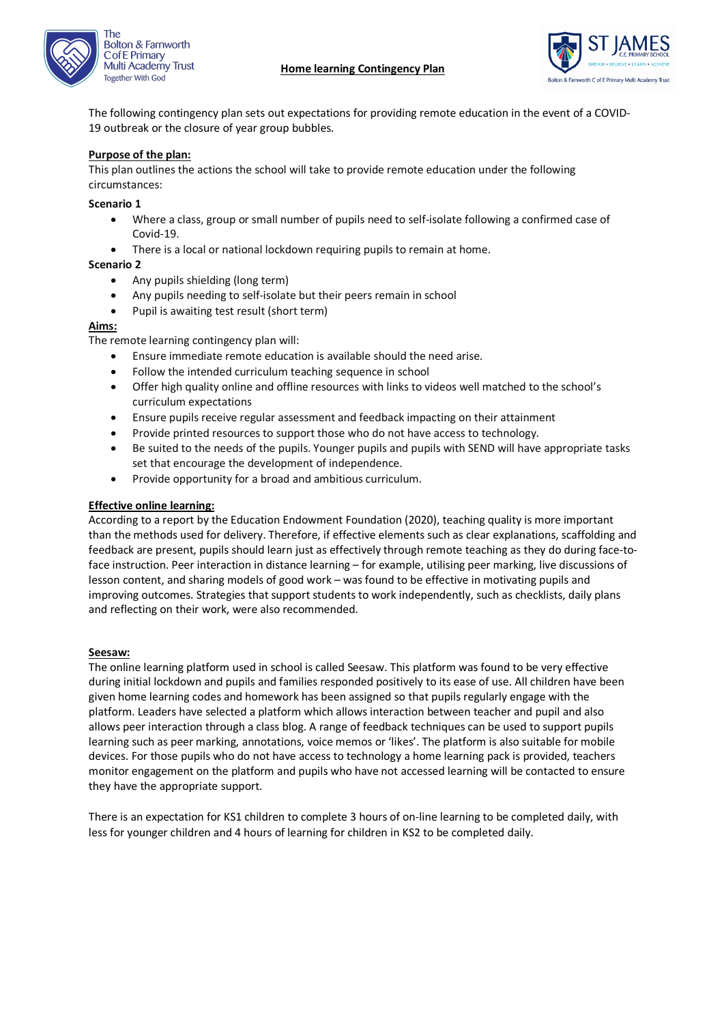



The following contingency plan sets out expectations for providing remote education in the event of a COVID-19 outbreak or the closure of year group bubbles.

# **Purpose of the plan:**

This plan outlines the actions the school will take to provide remote education under the following circumstances:

#### **Scenario 1**

- Where a class, group or small number of pupils need to self-isolate following a confirmed case of Covid-19.
- There is a local or national lockdown requiring pupils to remain at home.

#### **Scenario 2**

- Any pupils shielding (long term)
- Any pupils needing to self-isolate but their peers remain in school
- Pupil is awaiting test result (short term)

#### **Aims:**

The remote learning contingency plan will:

- Ensure immediate remote education is available should the need arise.
- Follow the intended curriculum teaching sequence in school
- Offer high quality online and offline resources with links to videos well matched to the school's curriculum expectations
- Ensure pupils receive regular assessment and feedback impacting on their attainment
- Provide printed resources to support those who do not have access to technology.
- Be suited to the needs of the pupils. Younger pupils and pupils with SEND will have appropriate tasks set that encourage the development of independence.
- Provide opportunity for a broad and ambitious curriculum.

#### **Effective online learning:**

According to a report by the Education Endowment Foundation (2020), teaching quality is more important than the methods used for delivery. Therefore, if effective elements such as clear explanations, scaffolding and feedback are present, pupils should learn just as effectively through remote teaching as they do during face-toface instruction. Peer interaction in distance learning – for example, utilising peer marking, live discussions of lesson content, and sharing models of good work – was found to be effective in motivating pupils and improving outcomes. Strategies that support students to work independently, such as checklists, daily plans and reflecting on their work, were also recommended.

#### **Seesaw:**

The online learning platform used in school is called Seesaw. This platform was found to be very effective during initial lockdown and pupils and families responded positively to its ease of use. All children have been given home learning codes and homework has been assigned so that pupils regularly engage with the platform. Leaders have selected a platform which allows interaction between teacher and pupil and also allows peer interaction through a class blog. A range of feedback techniques can be used to support pupils learning such as peer marking, annotations, voice memos or 'likes'. The platform is also suitable for mobile devices. For those pupils who do not have access to technology a home learning pack is provided, teachers monitor engagement on the platform and pupils who have not accessed learning will be contacted to ensure they have the appropriate support.

There is an expectation for KS1 children to complete 3 hours of on-line learning to be completed daily, with less for younger children and 4 hours of learning for children in KS2 to be completed daily.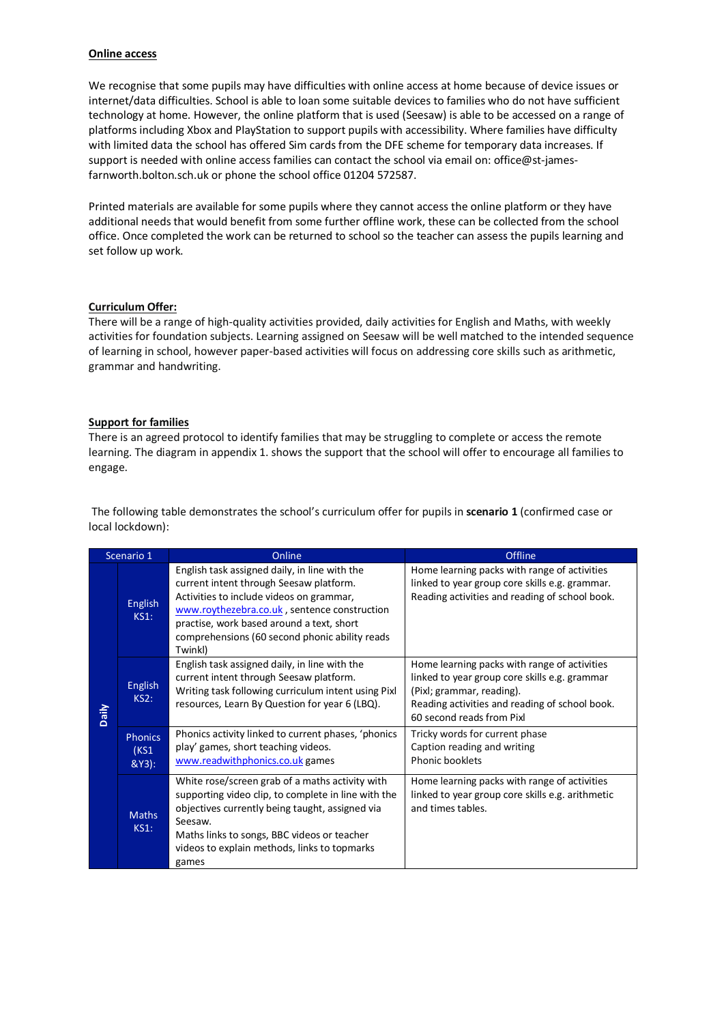#### **Online access**

We recognise that some pupils may have difficulties with online access at home because of device issues or internet/data difficulties. School is able to loan some suitable devices to families who do not have sufficient technology at home. However, the online platform that is used (Seesaw) is able to be accessed on a range of platforms including Xbox and PlayStation to support pupils with accessibility. Where families have difficulty with limited data the school has offered Sim cards from the DFE scheme for temporary data increases. If support is needed with online access families can contact the school via email on: office@st-jamesfarnworth.bolton.sch.uk or phone the school office 01204 572587.

Printed materials are available for some pupils where they cannot access the online platform or they have additional needs that would benefit from some further offline work, these can be collected from the school office. Once completed the work can be returned to school so the teacher can assess the pupils learning and set follow up work.

#### **Curriculum Offer:**

There will be a range of high-quality activities provided, daily activities for English and Maths, with weekly activities for foundation subjects. Learning assigned on Seesaw will be well matched to the intended sequence of learning in school, however paper-based activities will focus on addressing core skills such as arithmetic, grammar and handwriting.

#### **Support for families**

There is an agreed protocol to identify families that may be struggling to complete or access the remote learning. The diagram in appendix 1. shows the support that the school will offer to encourage all families to engage.

The following table demonstrates the school's curriculum offer for pupils in **scenario 1** (confirmed case or local lockdown):

| Scenario 1 |                                    | Online                                                                                                                                                                                                                                                                                         | Offline                                                                                                                                                                                                   |
|------------|------------------------------------|------------------------------------------------------------------------------------------------------------------------------------------------------------------------------------------------------------------------------------------------------------------------------------------------|-----------------------------------------------------------------------------------------------------------------------------------------------------------------------------------------------------------|
| Daily      | <b>English</b><br><b>KS1:</b>      | English task assigned daily, in line with the<br>current intent through Seesaw platform.<br>Activities to include videos on grammar,<br>www.roythezebra.co.uk, sentence construction<br>practise, work based around a text, short<br>comprehensions (60 second phonic ability reads<br>Twinkl) | Home learning packs with range of activities<br>linked to year group core skills e.g. grammar.<br>Reading activities and reading of school book.                                                          |
|            | <b>English</b><br>KS2:             | English task assigned daily, in line with the<br>current intent through Seesaw platform.<br>Writing task following curriculum intent using Pixl<br>resources, Learn By Question for year 6 (LBQ).                                                                                              | Home learning packs with range of activities<br>linked to year group core skills e.g. grammar<br>(Pixl; grammar, reading).<br>Reading activities and reading of school book.<br>60 second reads from Pixl |
|            | <b>Phonics</b><br>(KS1)<br>$&Y3$ : | Phonics activity linked to current phases, 'phonics<br>play' games, short teaching videos.<br>www.readwithphonics.co.uk games                                                                                                                                                                  | Tricky words for current phase<br>Caption reading and writing<br>Phonic booklets                                                                                                                          |
|            | <b>Maths</b><br>KS1:               | White rose/screen grab of a maths activity with<br>supporting video clip, to complete in line with the<br>objectives currently being taught, assigned via<br>Seesaw.<br>Maths links to songs, BBC videos or teacher<br>videos to explain methods, links to topmarks<br>games                   | Home learning packs with range of activities<br>linked to year group core skills e.g. arithmetic<br>and times tables.                                                                                     |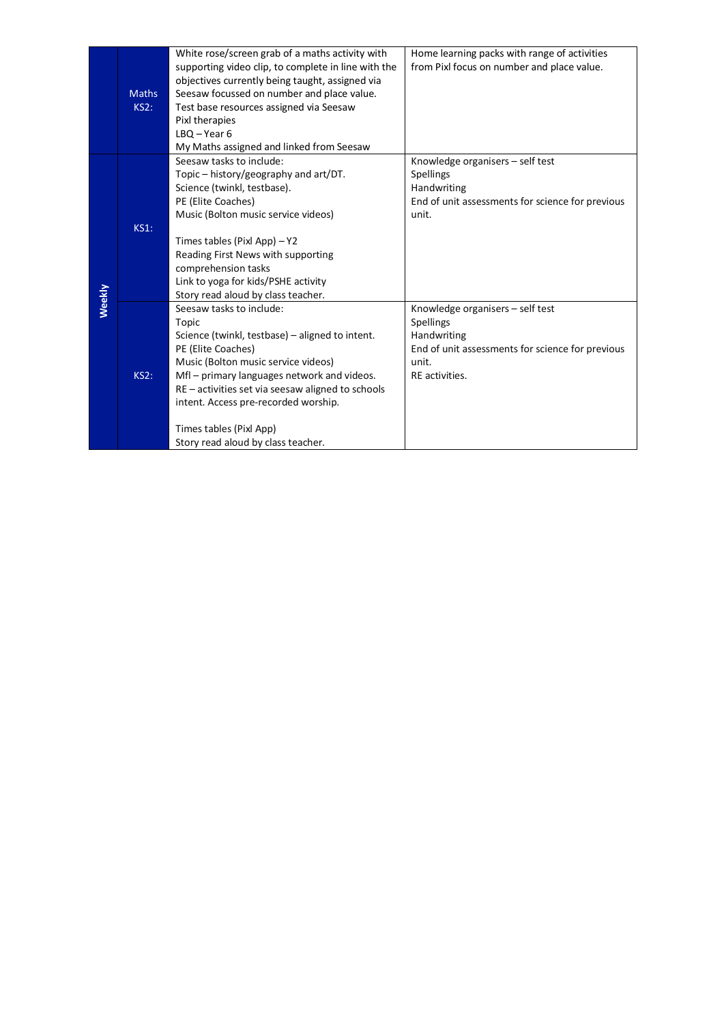|        | <b>Maths</b><br><b>KS2:</b> | White rose/screen grab of a maths activity with<br>supporting video clip, to complete in line with the<br>objectives currently being taught, assigned via<br>Seesaw focussed on number and place value. | Home learning packs with range of activities<br>from Pixl focus on number and place value. |
|--------|-----------------------------|---------------------------------------------------------------------------------------------------------------------------------------------------------------------------------------------------------|--------------------------------------------------------------------------------------------|
|        |                             | Test base resources assigned via Seesaw<br>Pixl therapies<br>$LBO - Year 6$<br>My Maths assigned and linked from Seesaw                                                                                 |                                                                                            |
|        |                             | Seesaw tasks to include:                                                                                                                                                                                | Knowledge organisers - self test                                                           |
|        |                             | Topic - history/geography and art/DT.                                                                                                                                                                   | <b>Spellings</b>                                                                           |
|        |                             | Science (twinkl, testbase).<br>PE (Elite Coaches)                                                                                                                                                       | Handwriting<br>End of unit assessments for science for previous                            |
|        |                             | Music (Bolton music service videos)                                                                                                                                                                     | unit.                                                                                      |
|        | <b>KS1:</b>                 |                                                                                                                                                                                                         |                                                                                            |
|        |                             | Times tables (Pixl App) $-$ Y2                                                                                                                                                                          |                                                                                            |
|        |                             | Reading First News with supporting                                                                                                                                                                      |                                                                                            |
|        |                             | comprehension tasks                                                                                                                                                                                     |                                                                                            |
|        |                             | Link to yoga for kids/PSHE activity<br>Story read aloud by class teacher.                                                                                                                               |                                                                                            |
| Weekly |                             | Seesaw tasks to include:                                                                                                                                                                                | Knowledge organisers - self test                                                           |
|        |                             | Topic                                                                                                                                                                                                   | Spellings                                                                                  |
|        |                             | Science (twinkl, testbase) - aligned to intent.                                                                                                                                                         | Handwriting                                                                                |
|        |                             | PE (Elite Coaches)                                                                                                                                                                                      | End of unit assessments for science for previous                                           |
|        |                             | Music (Bolton music service videos)                                                                                                                                                                     | unit.                                                                                      |
|        | <b>KS2:</b>                 | Mfl - primary languages network and videos.                                                                                                                                                             | RE activities.                                                                             |
|        |                             | RE - activities set via seesaw aligned to schools<br>intent. Access pre-recorded worship.                                                                                                               |                                                                                            |
|        |                             |                                                                                                                                                                                                         |                                                                                            |
|        |                             | Times tables (Pixl App)                                                                                                                                                                                 |                                                                                            |
|        |                             | Story read aloud by class teacher.                                                                                                                                                                      |                                                                                            |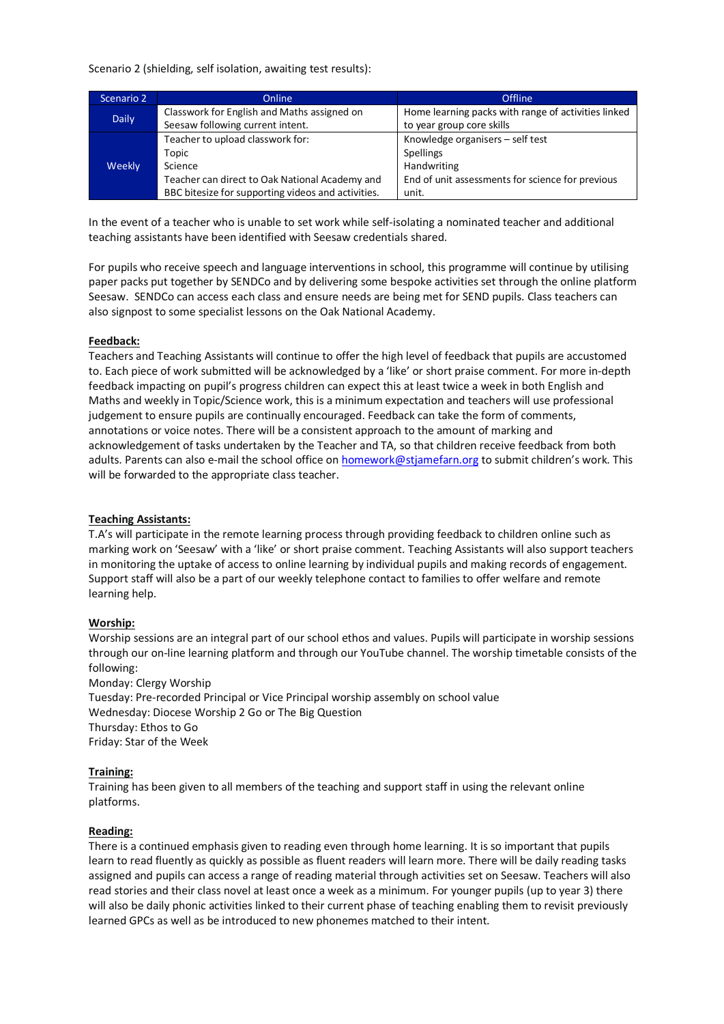Scenario 2 (shielding, self isolation, awaiting test results):

| Scenario 2   | <b>Online</b>                                      | <b>Offline</b>                                      |
|--------------|----------------------------------------------------|-----------------------------------------------------|
| <b>Daily</b> | Classwork for English and Maths assigned on        | Home learning packs with range of activities linked |
|              | Seesaw following current intent.                   | to year group core skills                           |
|              | Teacher to upload classwork for:                   | Knowledge organisers - self test                    |
|              | Topic                                              | Spellings                                           |
| Weekly       | Science                                            | Handwriting                                         |
|              | Teacher can direct to Oak National Academy and     | End of unit assessments for science for previous    |
|              | BBC bitesize for supporting videos and activities. | unit.                                               |

In the event of a teacher who is unable to set work while self-isolating a nominated teacher and additional teaching assistants have been identified with Seesaw credentials shared.

For pupils who receive speech and language interventions in school, this programme will continue by utilising paper packs put together by SENDCo and by delivering some bespoke activities set through the online platform Seesaw. SENDCo can access each class and ensure needs are being met for SEND pupils. Class teachers can also signpost to some specialist lessons on the Oak National Academy.

#### **Feedback:**

Teachers and Teaching Assistants will continue to offer the high level of feedback that pupils are accustomed to. Each piece of work submitted will be acknowledged by a 'like' or short praise comment. For more in-depth feedback impacting on pupil's progress children can expect this at least twice a week in both English and Maths and weekly in Topic/Science work, this is a minimum expectation and teachers will use professional judgement to ensure pupils are continually encouraged. Feedback can take the form of comments, annotations or voice notes. There will be a consistent approach to the amount of marking and acknowledgement of tasks undertaken by the Teacher and TA, so that children receive feedback from both adults. Parents can also e-mail the school office on homework@stjamefarn.org to submit children's work. This will be forwarded to the appropriate class teacher.

# **Teaching Assistants:**

T.A's will participate in the remote learning process through providing feedback to children online such as marking work on 'Seesaw' with a 'like' or short praise comment. Teaching Assistants will also support teachers in monitoring the uptake of access to online learning by individual pupils and making records of engagement. Support staff will also be a part of our weekly telephone contact to families to offer welfare and remote learning help.

#### **Worship:**

Worship sessions are an integral part of our school ethos and values. Pupils will participate in worship sessions through our on-line learning platform and through our YouTube channel. The worship timetable consists of the following:

Monday: Clergy Worship Tuesday: Pre-recorded Principal or Vice Principal worship assembly on school value Wednesday: Diocese Worship 2 Go or The Big Question Thursday: Ethos to Go Friday: Star of the Week

#### **Training:**

Training has been given to all members of the teaching and support staff in using the relevant online platforms.

#### **Reading:**

There is a continued emphasis given to reading even through home learning. It is so important that pupils learn to read fluently as quickly as possible as fluent readers will learn more. There will be daily reading tasks assigned and pupils can access a range of reading material through activities set on Seesaw. Teachers will also read stories and their class novel at least once a week as a minimum. For younger pupils (up to year 3) there will also be daily phonic activities linked to their current phase of teaching enabling them to revisit previously learned GPCs as well as be introduced to new phonemes matched to their intent.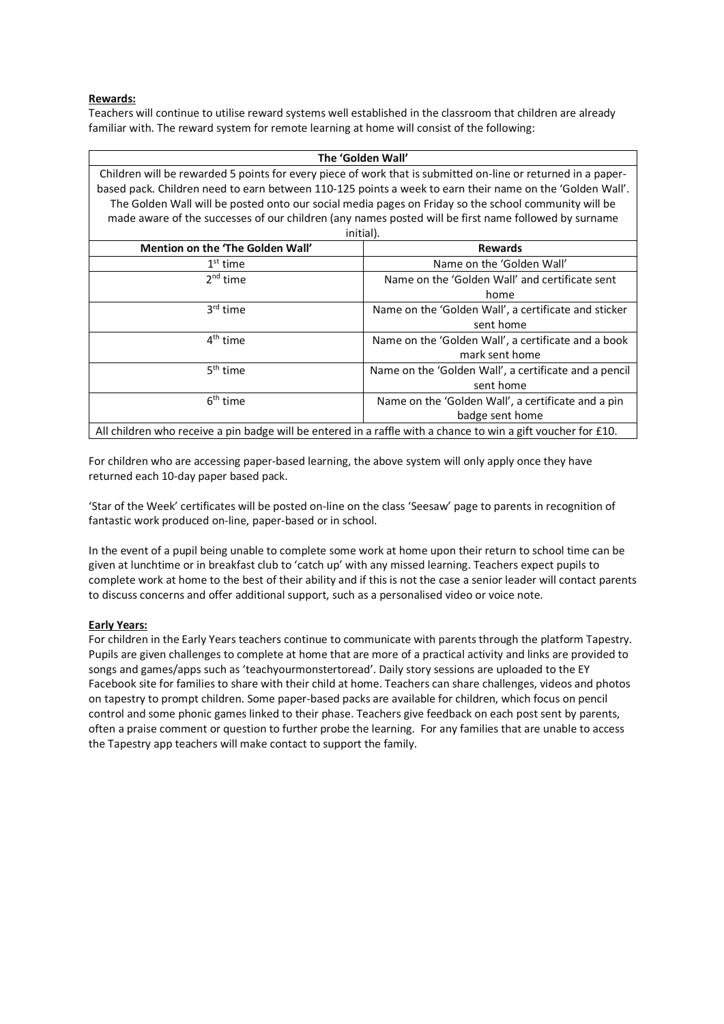# **Rewards:**

Teachers will continue to utilise reward systems well established in the classroom that children are already familiar with. The reward system for remote learning at home will consist of the following:

| The 'Golden Wall'                                                                                             |                                                       |  |  |  |
|---------------------------------------------------------------------------------------------------------------|-------------------------------------------------------|--|--|--|
| Children will be rewarded 5 points for every piece of work that is submitted on-line or returned in a paper-  |                                                       |  |  |  |
| based pack. Children need to earn between 110-125 points a week to earn their name on the 'Golden Wall'.      |                                                       |  |  |  |
| The Golden Wall will be posted onto our social media pages on Friday so the school community will be          |                                                       |  |  |  |
| made aware of the successes of our children (any names posted will be first name followed by surname          |                                                       |  |  |  |
| initial).                                                                                                     |                                                       |  |  |  |
| Mention on the 'The Golden Wall'                                                                              | <b>Rewards</b>                                        |  |  |  |
| $1st$ time                                                                                                    | Name on the 'Golden Wall'                             |  |  |  |
| 2 <sup>nd</sup> time                                                                                          | Name on the 'Golden Wall' and certificate sent        |  |  |  |
|                                                                                                               | home                                                  |  |  |  |
| 3rd time                                                                                                      | Name on the 'Golden Wall', a certificate and sticker  |  |  |  |
|                                                                                                               | sent home                                             |  |  |  |
| 4 <sup>th</sup> time                                                                                          | Name on the 'Golden Wall', a certificate and a book   |  |  |  |
|                                                                                                               | mark sent home                                        |  |  |  |
| 5 <sup>th</sup> time                                                                                          | Name on the 'Golden Wall', a certificate and a pencil |  |  |  |
|                                                                                                               | sent home                                             |  |  |  |
| $6th$ time                                                                                                    | Name on the 'Golden Wall', a certificate and a pin    |  |  |  |
|                                                                                                               | badge sent home                                       |  |  |  |
| All children who receive a pin badge will be entered in a raffle with a chance to win a gift voucher for £10. |                                                       |  |  |  |

For children who are accessing paper-based learning, the above system will only apply once they have returned each 10-day paper based pack.

'Star of the Week' certificates will be posted on-line on the class 'Seesaw' page to parents in recognition of fantastic work produced on-line, paper-based or in school.

In the event of a pupil being unable to complete some work at home upon their return to school time can be given at lunchtime or in breakfast club to 'catch up' with any missed learning. Teachers expect pupils to complete work at home to the best of their ability and if this is not the case a senior leader will contact parents to discuss concerns and offer additional support, such as a personalised video or voice note.

#### **Early Years:**

For children in the Early Years teachers continue to communicate with parents through the platform Tapestry. Pupils are given challenges to complete at home that are more of a practical activity and links are provided to songs and games/apps such as 'teachyourmonstertoread'. Daily story sessions are uploaded to the EY Facebook site for families to share with their child at home. Teachers can share challenges, videos and photos on tapestry to prompt children. Some paper-based packs are available for children, which focus on pencil control and some phonic games linked to their phase. Teachers give feedback on each post sent by parents, often a praise comment or question to further probe the learning. For any families that are unable to access the Tapestry app teachers will make contact to support the family.